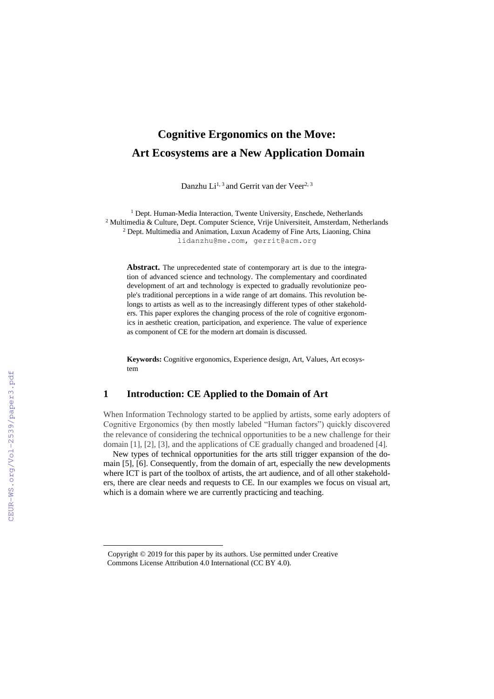# **Cognitive Ergonomics on the Move: Art Ecosystems are a New Application Domain**

Danzhu  $Li^{1,3}$  and Gerrit van der Veer<sup>2, 3</sup>

<sup>1</sup> Dept. Human-Media Interaction, Twente University, Enschede, Netherlands <sup>2</sup> Multimedia & Culture, Dept. Computer Science, Vrije Universiteit, Amsterdam, Netherlands <sup>2</sup> Dept. Multimedia and Animation, Luxun Academy of Fine Arts, Liaoning, China [lidanzhu@me.com,](mailto:lidanzhu@me.com) [gerrit@acm.org](mailto:gerrit@acm.org)

**Abstract.** The unprecedented state of contemporary art is due to the integration of advanced science and technology. The complementary and coordinated development of art and technology is expected to gradually revolutionize people's traditional perceptions in a wide range of art domains. This revolution belongs to artists as well as to the increasingly different types of other stakeholders. This paper explores the changing process of the role of cognitive ergonomics in aesthetic creation, participation, and experience. The value of experience as component of CE for the modern art domain is discussed.

**Keywords:** Cognitive ergonomics, Experience design, Art, Values, Art ecosystem

#### **1 Introduction: CE Applied to the Domain of Art**

When Information Technology started to be applied by artists, some early adopters of Cognitive Ergonomics (by then mostly labeled "Human factors") quickly discovered the relevance of considering the technical opportunities to be a new challenge for their domain [1], [2], [3], and the applications of CE gradually changed and broadened [4].

New types of technical opportunities for the arts still trigger expansion of the domain [5], [6]. Consequently, from the domain of art, especially the new developments where ICT is part of the toolbox of artists, the art audience, and of all other stakeholders, there are clear needs and requests to CE. In our examples we focus on visual art, which is a domain where we are currently practicing and teaching.

 $\overline{a}$ 

<sup>1</sup> Copyright © 2019 for this paper by its authors. Use permitted under Creative Commons License Attribution 4.0 International (CC BY 4.0).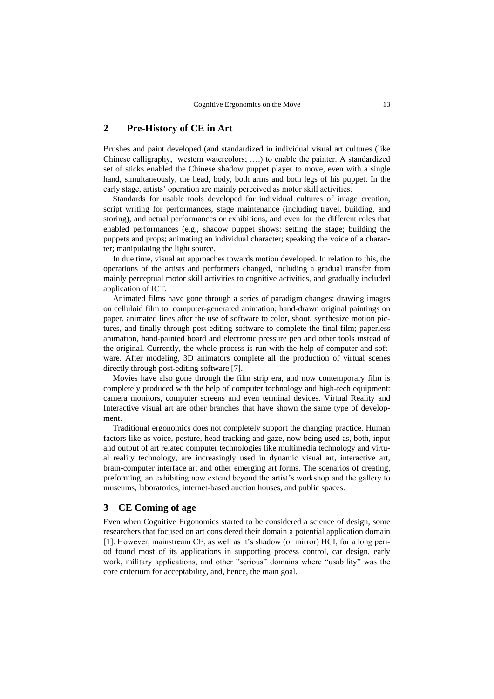## **2 Pre-History of CE in Art**

Brushes and paint developed (and standardized in individual visual art cultures (like Chinese calligraphy, western watercolors; ….) to enable the painter. A standardized set of sticks enabled the Chinese shadow puppet player to move, even with a single hand, simultaneously, the head, body, both arms and both legs of his puppet. In the early stage, artists' operation are mainly perceived as motor skill activities.

Standards for usable tools developed for individual cultures of image creation, script writing for performances, stage maintenance (including travel, building, and storing), and actual performances or exhibitions, and even for the different roles that enabled performances (e.g., shadow puppet shows: setting the stage; building the puppets and props; animating an individual character; speaking the voice of a character; manipulating the light source.

In due time, visual art approaches towards motion developed. In relation to this, the operations of the artists and performers changed, including a gradual transfer from mainly perceptual motor skill activities to cognitive activities, and gradually included application of ICT.

Animated films have gone through a series of paradigm changes: drawing images on celluloid film to computer-generated animation; hand-drawn original paintings on paper, animated lines after the use of software to color, shoot, synthesize motion pictures, and finally through post-editing software to complete the final film; paperless animation, hand-painted board and electronic pressure pen and other tools instead of the original. Currently, the whole process is run with the help of computer and software. After modeling, 3D animators complete all the production of virtual scenes directly through post-editing software [7].

Movies have also gone through the film strip era, and now contemporary film is completely produced with the help of computer technology and high-tech equipment: camera monitors, computer screens and even terminal devices. Virtual Reality and Interactive visual art are other branches that have shown the same type of development.

Traditional ergonomics does not completely support the changing practice. Human factors like as voice, posture, head tracking and gaze, now being used as, both, input and output of art related computer technologies like multimedia technology and virtual reality technology, are increasingly used in dynamic visual art, interactive art, brain-computer interface art and other emerging art forms. The scenarios of creating, preforming, an exhibiting now extend beyond the artist's workshop and the gallery to museums, laboratories, internet-based auction houses, and public spaces.

#### **3 CE Coming of age**

Even when Cognitive Ergonomics started to be considered a science of design, some researchers that focused on art considered their domain a potential application domain [1]. However, mainstream CE, as well as it's shadow (or mirror) HCI, for a long period found most of its applications in supporting process control, car design, early work, military applications, and other "serious" domains where "usability" was the core criterium for acceptability, and, hence, the main goal.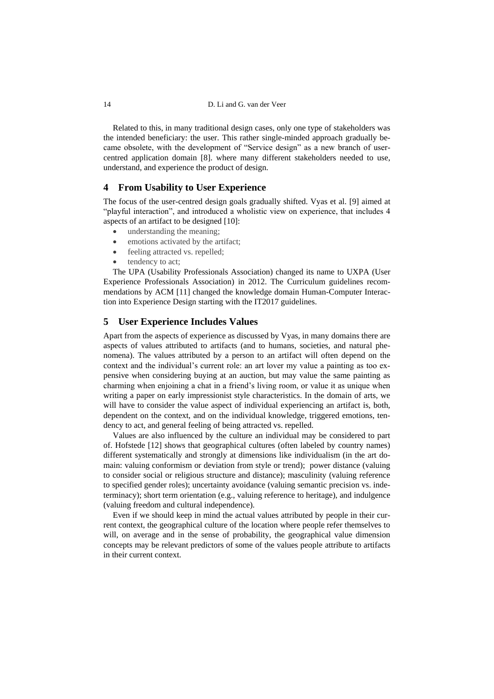Related to this, in many traditional design cases, only one type of stakeholders was the intended beneficiary: the user. This rather single-minded approach gradually became obsolete, with the development of "Service design" as a new branch of usercentred application domain [8]. where many different stakeholders needed to use, understand, and experience the product of design.

#### **4 From Usability to User Experience**

The focus of the user-centred design goals gradually shifted. Vyas et al. [9] aimed at "playful interaction", and introduced a wholistic view on experience, that includes 4 aspects of an artifact to be designed [10]:

- understanding the meaning;
- emotions activated by the artifact;
- feeling attracted vs. repelled;
- tendency to act;

The UPA (Usability Professionals Association) changed its name to UXPA (User Experience Professionals Association) in 2012. The Curriculum guidelines recommendations by ACM [11] changed the knowledge domain Human-Computer Interaction into Experience Design starting with the IT2017 guidelines.

### **5 User Experience Includes Values**

Apart from the aspects of experience as discussed by Vyas, in many domains there are aspects of values attributed to artifacts (and to humans, societies, and natural phenomena). The values attributed by a person to an artifact will often depend on the context and the individual's current role: an art lover my value a painting as too expensive when considering buying at an auction, but may value the same painting as charming when enjoining a chat in a friend's living room, or value it as unique when writing a paper on early impressionist style characteristics. In the domain of arts, we will have to consider the value aspect of individual experiencing an artifact is, both, dependent on the context, and on the individual knowledge, triggered emotions, tendency to act, and general feeling of being attracted vs. repelled.

Values are also influenced by the culture an individual may be considered to part of. Hofstede [12] shows that geographical cultures (often labeled by country names) different systematically and strongly at dimensions like individualism (in the art domain: valuing conformism or deviation from style or trend); power distance (valuing to consider social or religious structure and distance); masculinity (valuing reference to specified gender roles); uncertainty avoidance (valuing semantic precision vs. indeterminacy); short term orientation (e.g., valuing reference to heritage), and indulgence (valuing freedom and cultural independence).

Even if we should keep in mind the actual values attributed by people in their current context, the geographical culture of the location where people refer themselves to will, on average and in the sense of probability, the geographical value dimension concepts may be relevant predictors of some of the values people attribute to artifacts in their current context.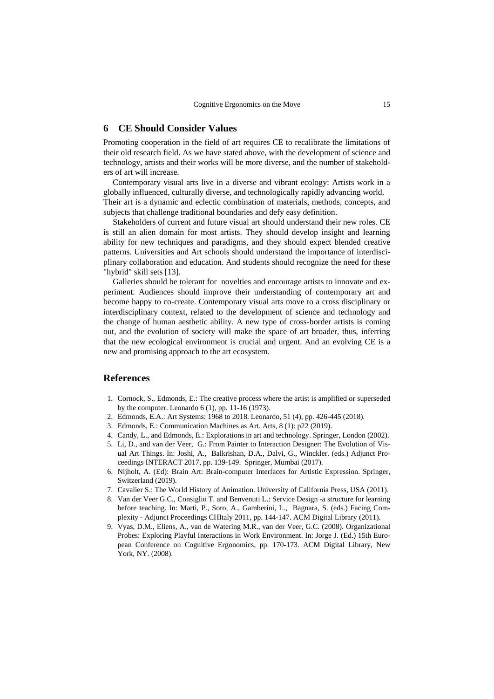#### **6 CE Should Consider Values**

Promoting cooperation in the field of art requires CE to recalibrate the limitations of their old research field. As we have stated above, with the development of science and technology, artists and their works will be more diverse, and the number of stakeholders of art will increase.

Contemporary visual arts live in a diverse and vibrant ecology: Artists work in a globally influenced, culturally diverse, and technologically rapidly advancing world. Their art is a dynamic and eclectic combination of materials, methods, concepts, and subjects that challenge traditional boundaries and defy easy definition.

Stakeholders of current and future visual art should understand their new roles. CE is still an alien domain for most artists. They should develop insight and learning ability for new techniques and paradigms, and they should expect blended creative patterns. Universities and Art schools should understand the importance of interdisciplinary collaboration and education. And students should recognize the need for these "hybrid" skill sets [13].

Galleries should be tolerant for novelties and encourage artists to innovate and experiment. Audiences should improve their understanding of contemporary art and become happy to co-create. Contemporary visual arts move to a cross disciplinary or interdisciplinary context, related to the development of science and technology and the change of human aesthetic ability. A new type of cross-border artists is coming out, and the evolution of society will make the space of art broader, thus, inferring that the new ecological environment is crucial and urgent. And an evolving CE is a new and promising approach to the art ecosystem.

## **References**

- 1. Cornock, S., Edmonds, E.: [The creative process where the artist is amplified or superseded](https://scholar.google.com/scholar?oi=bibs&cluster=12043006269500054053&btnI=1&hl=en)  [by the computer.](https://scholar.google.com/scholar?oi=bibs&cluster=12043006269500054053&btnI=1&hl=en) Leonardo 6 (1), pp. 11-16 (1973).
- 2. Edmonds, E.A.: Art Systems: 1968 to 2018. Leonardo, 51 (4), pp. 426-445 (2018).
- 3. Edmonds, E.: Communication Machines as Art. Arts, 8 (1): p22 (2019).
- 4. Candy, L., and Edmonds, E.: Explorations in art and technology. Springer, London (2002).
- 5. Li, D., and van der Veer, G.: From Painter to Interaction Designer: The Evolution of Visual Art Things. In: Joshi, A., Balkrishan, D.A., Dalvi, G., Winckler. (eds.) Adjunct Proceedings INTERACT 2017, pp. 139-149. Springer, Mumbai (2017).
- 6. Nijholt, A. (Ed): Brain Art: Brain-computer Interfaces for Artistic Expression. Springer, Switzerland (2019).
- 7. Cavalier S.: The World History of Animation. University of California Press, USA (2011).
- 8. Van der Veer G.C., Consiglio T. and Benvenuti L.: Service Design -a structure for learning before teaching. In: Marti, P., Soro, A., Gamberini, L., Bagnara, S. (eds.) Facing Complexity - Adjunct Proceedings CHItaly 2011, pp. 144-147. ACM Digital Library (2011).
- 9. Vyas, D.M., Eliens, A., van de Watering M.R., van der Veer, G.C. (2008). Organizational Probes: Exploring Playful Interactions in Work Environment. In: Jorge J. (Ed.) 15th European Conference on Cognitive Ergonomics, pp. 170-173. ACM Digital Library, New York, NY. (2008).